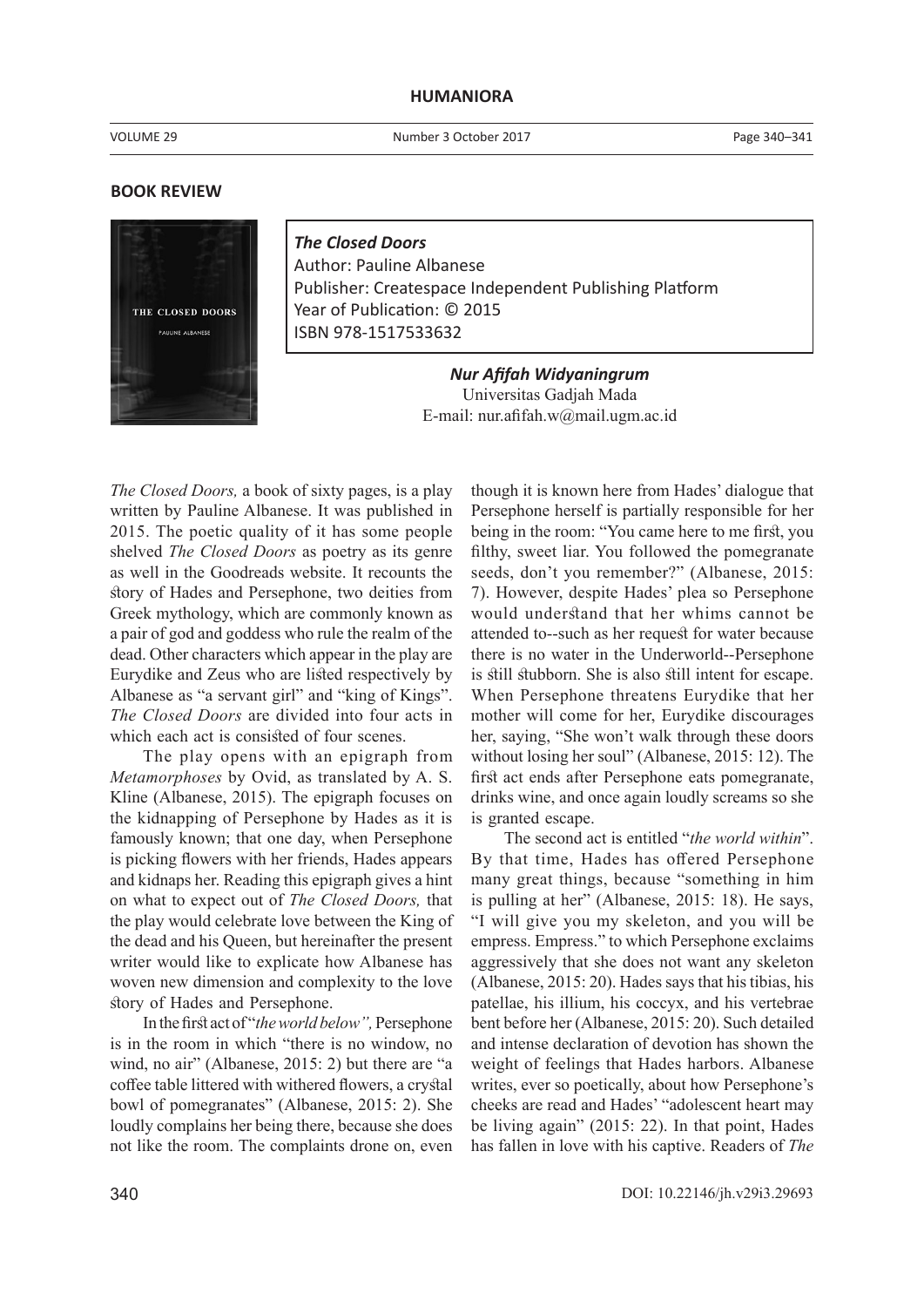## **HUMANIORA**

VOLUME 29

Number 3 October 2017

## **BOOK REVIEW**



*The Closed Doors* Author: Pauline Albanese Publisher: Createspace Independent Publishing Platform Year of Publication: © 2015 ISBN 978-1517533632

> *Nur Afifah Widyaningrum* Universitas Gadjah Mada E-mail: nur.afifah.w@mail.ugm.ac.id

*The Closed Doors,* a book of sixty pages, is a play written by Pauline Albanese. It was published in 2015. The poetic quality of it has some people shelved *The Closed Doors* as poetry as its genre as well in the Goodreads website. It recounts the story of Hades and Persephone, two deities from Greek mythology, which are commonly known as a pair of god and goddess who rule the realm of the dead. Other characters which appear in the play are Eurydike and Zeus who are listed respectively by Albanese as "a servant girl" and "king of Kings". *The Closed Doors* are divided into four acts in which each act is consisted of four scenes.

The play opens with an epigraph from *Metamorphoses* by Ovid, as translated by A. S. Kline (Albanese, 2015). The epigraph focuses on the kidnapping of Persephone by Hades as it is famously known; that one day, when Persephone is picking flowers with her friends, Hades appears and kidnaps her. Reading this epigraph gives a hint on what to expect out of *The Closed Doors,* that the play would celebrate love between the King of the dead and his Queen, but hereinafter the present writer would like to explicate how Albanese has woven new dimension and complexity to the love story of Hades and Persephone.

In the first act of "*the world below",* Persephone is in the room in which "there is no window, no wind, no air" (Albanese, 2015: 2) but there are "a coffee table littered with withered flowers, a crystal bowl of pomegranates" (Albanese, 2015: 2). She loudly complains her being there, because she does not like the room. The complaints drone on, even

though it is known here from Hades' dialogue that Persephone herself is partially responsible for her being in the room: "You came here to me first, you filthy, sweet liar. You followed the pomegranate seeds, don't you remember?" (Albanese, 2015: 7). However, despite Hades' plea so Persephone would understand that her whims cannot be attended to--such as her request for water because there is no water in the Underworld--Persephone is still stubborn. She is also still intent for escape. When Persephone threatens Eurydike that her mother will come for her, Eurydike discourages her, saying, "She won't walk through these doors without losing her soul" (Albanese, 2015: 12). The first act ends after Persephone eats pomegranate, drinks wine, and once again loudly screams so she is granted escape.

The second act is entitled "*the world within*". By that time, Hades has offered Persephone many great things, because "something in him is pulling at her" (Albanese, 2015: 18). He says, "I will give you my skeleton, and you will be empress. Empress." to which Persephone exclaims aggressively that she does not want any skeleton (Albanese, 2015: 20). Hades says that his tibias, his patellae, his illium, his coccyx, and his vertebrae bent before her (Albanese, 2015: 20). Such detailed and intense declaration of devotion has shown the weight of feelings that Hades harbors. Albanese writes, ever so poetically, about how Persephone's cheeks are read and Hades' "adolescent heart may be living again" (2015: 22). In that point, Hades has fallen in love with his captive. Readers of *The*